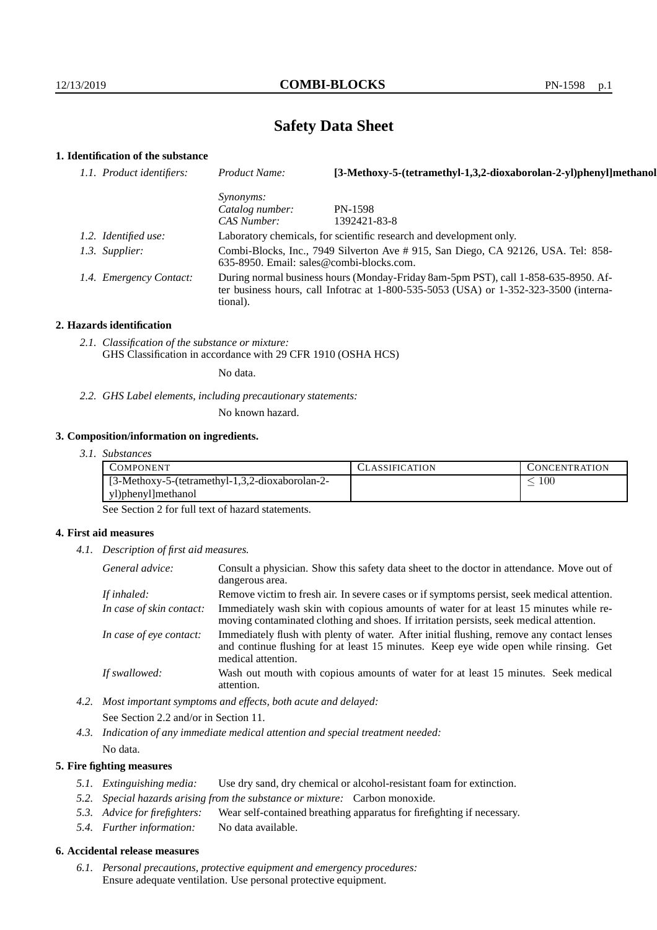# **Safety Data Sheet**

# **1. Identification of the substance**

| 1.1. Product identifiers: | Product Name:                                                                                                                                                                           | [3-Methoxy-5-(tetramethyl-1,3,2-dioxaborolan-2-yl)phenyl]methanol   |
|---------------------------|-----------------------------------------------------------------------------------------------------------------------------------------------------------------------------------------|---------------------------------------------------------------------|
|                           | <i>Synonyms:</i>                                                                                                                                                                        |                                                                     |
|                           | Catalog number:                                                                                                                                                                         | <b>PN-1598</b>                                                      |
|                           | CAS Number:                                                                                                                                                                             | 1392421-83-8                                                        |
| 1.2. Identified use:      |                                                                                                                                                                                         | Laboratory chemicals, for scientific research and development only. |
| 1.3. Supplier:            | Combi-Blocks, Inc., 7949 Silverton Ave # 915, San Diego, CA 92126, USA. Tel: 858-<br>$635-8950$ . Email: sales@combi-blocks.com.                                                        |                                                                     |
| 1.4. Emergency Contact:   | During normal business hours (Monday-Friday 8am-5pm PST), call 1-858-635-8950. Af-<br>ter business hours, call Infotrac at 1-800-535-5053 (USA) or 1-352-323-3500 (interna-<br>tional). |                                                                     |

#### **2. Hazards identification**

*2.1. Classification of the substance or mixture:* GHS Classification in accordance with 29 CFR 1910 (OSHA HCS)

No data.

*2.2. GHS Label elements, including precautionary statements:*

No known hazard.

#### **3. Composition/information on ingredients.**

*3.1. Substances*

| COMPONENT                                       | <b>ASSIFICATION</b> | CONCENTRATION |
|-------------------------------------------------|---------------------|---------------|
| [3-Methoxy-5-(tetramethyl-1,3,2-dioxaborolan-2- |                     | 100           |
| yl)phenyl]methanol                              |                     |               |

See Section 2 for full text of hazard statements.

#### **4. First aid measures**

*4.1. Description of first aid measures.*

| General advice:          | Consult a physician. Show this safety data sheet to the doctor in attendance. Move out of<br>dangerous area.                                                                                            |
|--------------------------|---------------------------------------------------------------------------------------------------------------------------------------------------------------------------------------------------------|
| If inhaled:              | Remove victim to fresh air. In severe cases or if symptoms persist, seek medical attention.                                                                                                             |
| In case of skin contact: | Immediately wash skin with copious amounts of water for at least 15 minutes while re-<br>moving contaminated clothing and shoes. If irritation persists, seek medical attention.                        |
| In case of eye contact:  | Immediately flush with plenty of water. After initial flushing, remove any contact lenses<br>and continue flushing for at least 15 minutes. Keep eye wide open while rinsing. Get<br>medical attention. |
| If swallowed:            | Wash out mouth with copious amounts of water for at least 15 minutes. Seek medical<br>attention.                                                                                                        |

- *4.2. Most important symptoms and effects, both acute and delayed:* See Section 2.2 and/or in Section 11.
- *4.3. Indication of any immediate medical attention and special treatment needed:* No data.

### **5. Fire fighting measures**

- *5.1. Extinguishing media:* Use dry sand, dry chemical or alcohol-resistant foam for extinction.
- *5.2. Special hazards arising from the substance or mixture:* Carbon monoxide.
- *5.3. Advice for firefighters:* Wear self-contained breathing apparatus for firefighting if necessary.
- *5.4. Further information:* No data available.

## **6. Accidental release measures**

*6.1. Personal precautions, protective equipment and emergency procedures:* Ensure adequate ventilation. Use personal protective equipment.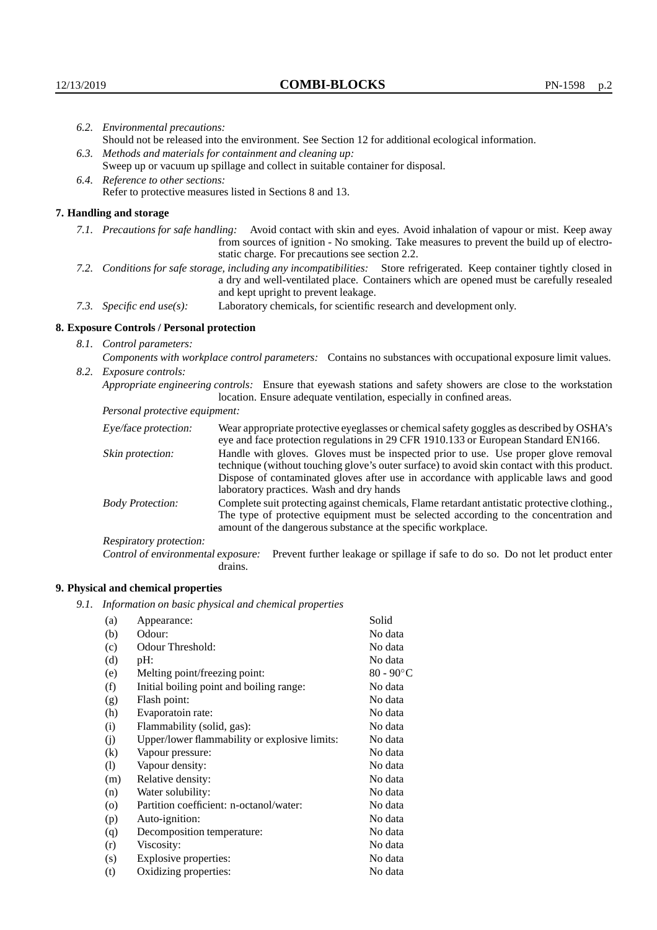|  | 6.2. Environmental precautions:                                                                                                                                                                                                                            |                                                                                                                                                                                                                                                                    |  |  |  |  |  |
|--|------------------------------------------------------------------------------------------------------------------------------------------------------------------------------------------------------------------------------------------------------------|--------------------------------------------------------------------------------------------------------------------------------------------------------------------------------------------------------------------------------------------------------------------|--|--|--|--|--|
|  | Should not be released into the environment. See Section 12 for additional ecological information.                                                                                                                                                         |                                                                                                                                                                                                                                                                    |  |  |  |  |  |
|  | 6.3. Methods and materials for containment and cleaning up:                                                                                                                                                                                                |                                                                                                                                                                                                                                                                    |  |  |  |  |  |
|  |                                                                                                                                                                                                                                                            | Sweep up or vacuum up spillage and collect in suitable container for disposal.                                                                                                                                                                                     |  |  |  |  |  |
|  | 6.4. Reference to other sections:                                                                                                                                                                                                                          |                                                                                                                                                                                                                                                                    |  |  |  |  |  |
|  | Refer to protective measures listed in Sections 8 and 13.                                                                                                                                                                                                  |                                                                                                                                                                                                                                                                    |  |  |  |  |  |
|  | 7. Handling and storage                                                                                                                                                                                                                                    |                                                                                                                                                                                                                                                                    |  |  |  |  |  |
|  |                                                                                                                                                                                                                                                            | 7.1. Precautions for safe handling: Avoid contact with skin and eyes. Avoid inhalation of vapour or mist. Keep away<br>from sources of ignition - No smoking. Take measures to prevent the build up of electro-<br>static charge. For precautions see section 2.2. |  |  |  |  |  |
|  | 7.2. Conditions for safe storage, including any incompatibilities: Store refrigerated. Keep container tightly closed in<br>a dry and well-ventilated place. Containers which are opened must be carefully resealed<br>and kept upright to prevent leakage. |                                                                                                                                                                                                                                                                    |  |  |  |  |  |
|  | 7.3. Specific end use(s):                                                                                                                                                                                                                                  | Laboratory chemicals, for scientific research and development only.                                                                                                                                                                                                |  |  |  |  |  |
|  | 8. Exposure Controls / Personal protection                                                                                                                                                                                                                 |                                                                                                                                                                                                                                                                    |  |  |  |  |  |
|  | 8.1. Control parameters:                                                                                                                                                                                                                                   |                                                                                                                                                                                                                                                                    |  |  |  |  |  |
|  |                                                                                                                                                                                                                                                            | Components with workplace control parameters: Contains no substances with occupational exposure limit values.                                                                                                                                                      |  |  |  |  |  |
|  | 8.2. Exposure controls:                                                                                                                                                                                                                                    |                                                                                                                                                                                                                                                                    |  |  |  |  |  |
|  | Appropriate engineering controls: Ensure that eyewash stations and safety showers are close to the workstation<br>location. Ensure adequate ventilation, especially in confined areas.                                                                     |                                                                                                                                                                                                                                                                    |  |  |  |  |  |
|  | Personal protective equipment:                                                                                                                                                                                                                             |                                                                                                                                                                                                                                                                    |  |  |  |  |  |
|  | Eye/face protection:                                                                                                                                                                                                                                       | Wear appropriate protective eyeglasses or chemical safety goggles as described by OSHA's<br>eye and face protection regulations in 29 CFR 1910.133 or European Standard EN166.                                                                                     |  |  |  |  |  |
|  | Skin protection:                                                                                                                                                                                                                                           | Handle with gloves. Gloves must be inspected prior to use. Use proper glove removal<br>technique (without touching glove's outer surface) to avoid skin contact with this product.                                                                                 |  |  |  |  |  |

technique (without touching glove's outer surface) to avoid skin contact with this product. Dispose of contaminated gloves after use in accordance with applicable laws and good laboratory practices. Wash and dry hands

Body Protection: Complete suit protecting against chemicals, Flame retardant antistatic protective clothing., The type of protective equipment must be selected according to the concentration and amount of the dangerous substance at the specific workplace.

Respiratory protection:

Control of environmental exposure: Prevent further leakage or spillage if safe to do so. Do not let product enter drains.

# **9. Physical and chemical properties**

*9.1. Information on basic physical and chemical properties*

| (a)                | Appearance:                                   | Solid               |
|--------------------|-----------------------------------------------|---------------------|
| (b)                | Odour:                                        | No data             |
| (c)                | Odour Threshold:                              | No data             |
| (d)                | $pH$ :                                        | No data             |
| (e)                | Melting point/freezing point:                 | $80 - 90^{\circ}$ C |
| (f)                | Initial boiling point and boiling range:      | No data             |
| (g)                | Flash point:                                  | No data             |
| (h)                | Evaporatoin rate:                             | No data             |
| (i)                | Flammability (solid, gas):                    | No data             |
| (j)                | Upper/lower flammability or explosive limits: | No data             |
| $\rm(k)$           | Vapour pressure:                              | No data             |
| (1)                | Vapour density:                               | No data             |
| (m)                | Relative density:                             | No data             |
| (n)                | Water solubility:                             | No data             |
| $\left( 0 \right)$ | Partition coefficient: n-octanol/water:       | No data             |
| (p)                | Auto-ignition:                                | No data             |
| (q)                | Decomposition temperature:                    | No data             |
| (r)                | Viscosity:                                    | No data             |
| (s)                | Explosive properties:                         | No data             |
| (t)                | Oxidizing properties:                         | No data             |
|                    |                                               |                     |